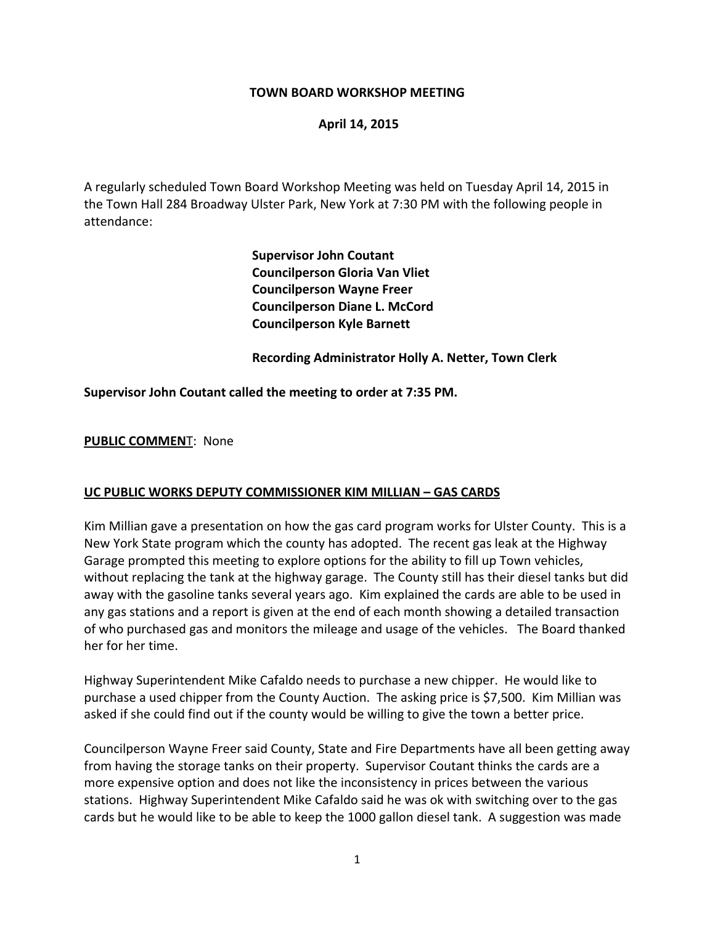### **TOWN BOARD WORKSHOP MEETING**

#### **April 14, 2015**

A regularly scheduled Town Board Workshop Meeting was held on Tuesday April 14, 2015 in the Town Hall 284 Broadway Ulster Park, New York at 7:30 PM with the following people in attendance:

> **Supervisor John Coutant Councilperson Gloria Van Vliet Councilperson Wayne Freer Councilperson Diane L. McCord Councilperson Kyle Barnett**

 **Recording Administrator Holly A. Netter, Town Clerk**

#### **Supervisor John Coutant called the meeting to order at 7:35 PM.**

#### **PUBLIC COMMEN**T: None

#### **UC PUBLIC WORKS DEPUTY COMMISSIONER KIM MILLIAN – GAS CARDS**

Kim Millian gave a presentation on how the gas card program works for Ulster County. This is a New York State program which the county has adopted. The recent gas leak at the Highway Garage prompted this meeting to explore options for the ability to fill up Town vehicles, without replacing the tank at the highway garage. The County still has their diesel tanks but did away with the gasoline tanks several years ago. Kim explained the cards are able to be used in any gas stations and a report is given at the end of each month showing a detailed transaction of who purchased gas and monitors the mileage and usage of the vehicles. The Board thanked her for her time.

Highway Superintendent Mike Cafaldo needs to purchase a new chipper. He would like to purchase a used chipper from the County Auction. The asking price is \$7,500. Kim Millian was asked if she could find out if the county would be willing to give the town a better price.

Councilperson Wayne Freer said County, State and Fire Departments have all been getting away from having the storage tanks on their property. Supervisor Coutant thinks the cards are a more expensive option and does not like the inconsistency in prices between the various stations. Highway Superintendent Mike Cafaldo said he was ok with switching over to the gas cards but he would like to be able to keep the 1000 gallon diesel tank. A suggestion was made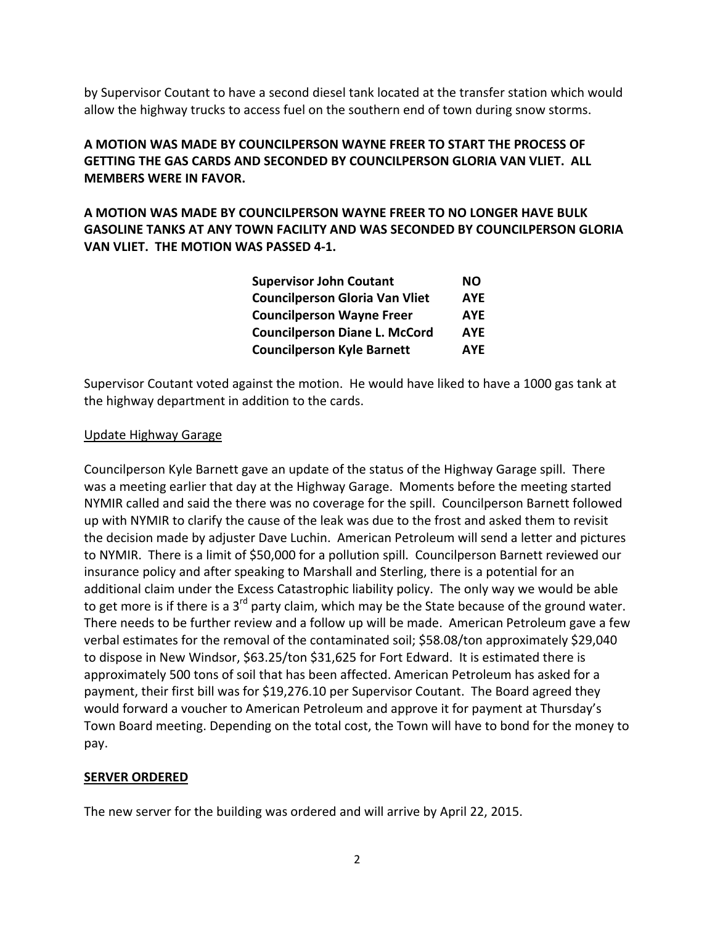by Supervisor Coutant to have a second diesel tank located at the transfer station which would allow the highway trucks to access fuel on the southern end of town during snow storms.

# **A MOTION WAS MADE BY COUNCILPERSON WAYNE FREER TO START THE PROCESS OF GETTING THE GAS CARDS AND SECONDED BY COUNCILPERSON GLORIA VAN VLIET. ALL MEMBERS WERE IN FAVOR.**

**A MOTION WAS MADE BY COUNCILPERSON WAYNE FREER TO NO LONGER HAVE BULK GASOLINE TANKS AT ANY TOWN FACILITY AND WAS SECONDED BY COUNCILPERSON GLORIA VAN VLIET. THE MOTION WAS PASSED 4‐1.**

| NO.        |
|------------|
| <b>AYE</b> |
| <b>AYE</b> |
| <b>AYE</b> |
| <b>AYE</b> |
|            |

Supervisor Coutant voted against the motion. He would have liked to have a 1000 gas tank at the highway department in addition to the cards.

## Update Highway Garage

Councilperson Kyle Barnett gave an update of the status of the Highway Garage spill. There was a meeting earlier that day at the Highway Garage. Moments before the meeting started NYMIR called and said the there was no coverage for the spill. Councilperson Barnett followed up with NYMIR to clarify the cause of the leak was due to the frost and asked them to revisit the decision made by adjuster Dave Luchin. American Petroleum will send a letter and pictures to NYMIR. There is a limit of \$50,000 for a pollution spill. Councilperson Barnett reviewed our insurance policy and after speaking to Marshall and Sterling, there is a potential for an additional claim under the Excess Catastrophic liability policy. The only way we would be able to get more is if there is a  $3<sup>rd</sup>$  party claim, which may be the State because of the ground water. There needs to be further review and a follow up will be made. American Petroleum gave a few verbal estimates for the removal of the contaminated soil; \$58.08/ton approximately \$29,040 to dispose in New Windsor, \$63.25/ton \$31,625 for Fort Edward. It is estimated there is approximately 500 tons of soil that has been affected. American Petroleum has asked for a payment, their first bill was for \$19,276.10 per Supervisor Coutant. The Board agreed they would forward a voucher to American Petroleum and approve it for payment at Thursday's Town Board meeting. Depending on the total cost, the Town will have to bond for the money to pay.

## **SERVER ORDERED**

The new server for the building was ordered and will arrive by April 22, 2015.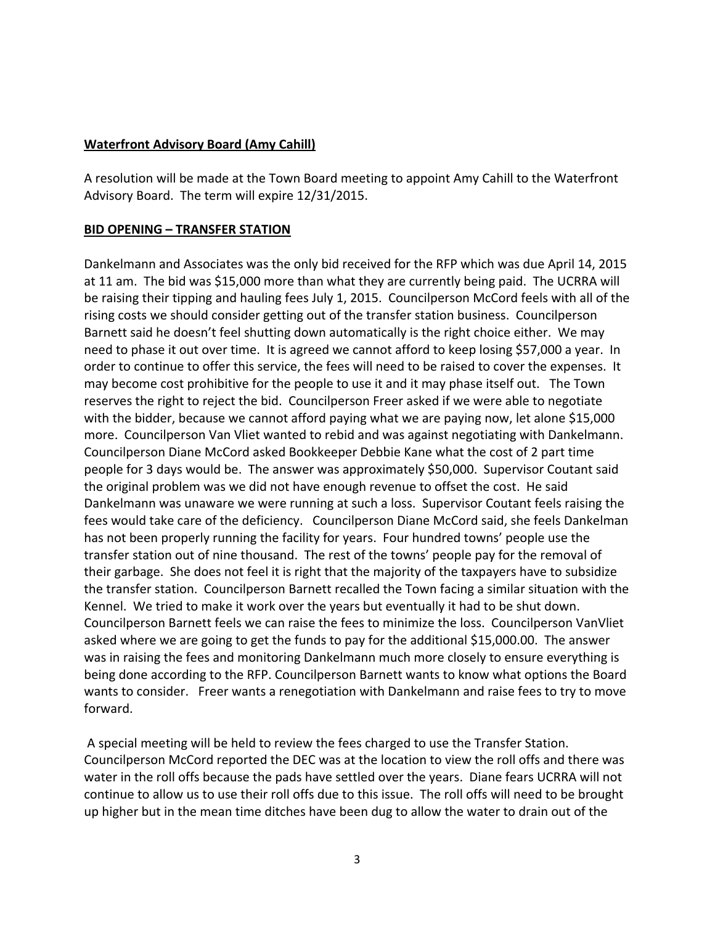### **Waterfront Advisory Board (Amy Cahill)**

A resolution will be made at the Town Board meeting to appoint Amy Cahill to the Waterfront Advisory Board. The term will expire 12/31/2015.

#### **BID OPENING – TRANSFER STATION**

Dankelmann and Associates was the only bid received for the RFP which was due April 14, 2015 at 11 am. The bid was \$15,000 more than what they are currently being paid. The UCRRA will be raising their tipping and hauling fees July 1, 2015. Councilperson McCord feels with all of the rising costs we should consider getting out of the transfer station business. Councilperson Barnett said he doesn't feel shutting down automatically is the right choice either. We may need to phase it out over time. It is agreed we cannot afford to keep losing \$57,000 a year. In order to continue to offer this service, the fees will need to be raised to cover the expenses. It may become cost prohibitive for the people to use it and it may phase itself out. The Town reserves the right to reject the bid. Councilperson Freer asked if we were able to negotiate with the bidder, because we cannot afford paying what we are paying now, let alone \$15,000 more. Councilperson Van Vliet wanted to rebid and was against negotiating with Dankelmann. Councilperson Diane McCord asked Bookkeeper Debbie Kane what the cost of 2 part time people for 3 days would be. The answer was approximately \$50,000. Supervisor Coutant said the original problem was we did not have enough revenue to offset the cost. He said Dankelmann was unaware we were running at such a loss. Supervisor Coutant feels raising the fees would take care of the deficiency. Councilperson Diane McCord said, she feels Dankelman has not been properly running the facility for years. Four hundred towns' people use the transfer station out of nine thousand. The rest of the towns' people pay for the removal of their garbage. She does not feel it is right that the majority of the taxpayers have to subsidize the transfer station. Councilperson Barnett recalled the Town facing a similar situation with the Kennel. We tried to make it work over the years but eventually it had to be shut down. Councilperson Barnett feels we can raise the fees to minimize the loss. Councilperson VanVliet asked where we are going to get the funds to pay for the additional \$15,000.00. The answer was in raising the fees and monitoring Dankelmann much more closely to ensure everything is being done according to the RFP. Councilperson Barnett wants to know what options the Board wants to consider. Freer wants a renegotiation with Dankelmann and raise fees to try to move forward.

A special meeting will be held to review the fees charged to use the Transfer Station. Councilperson McCord reported the DEC was at the location to view the roll offs and there was water in the roll offs because the pads have settled over the years. Diane fears UCRRA will not continue to allow us to use their roll offs due to this issue. The roll offs will need to be brought up higher but in the mean time ditches have been dug to allow the water to drain out of the